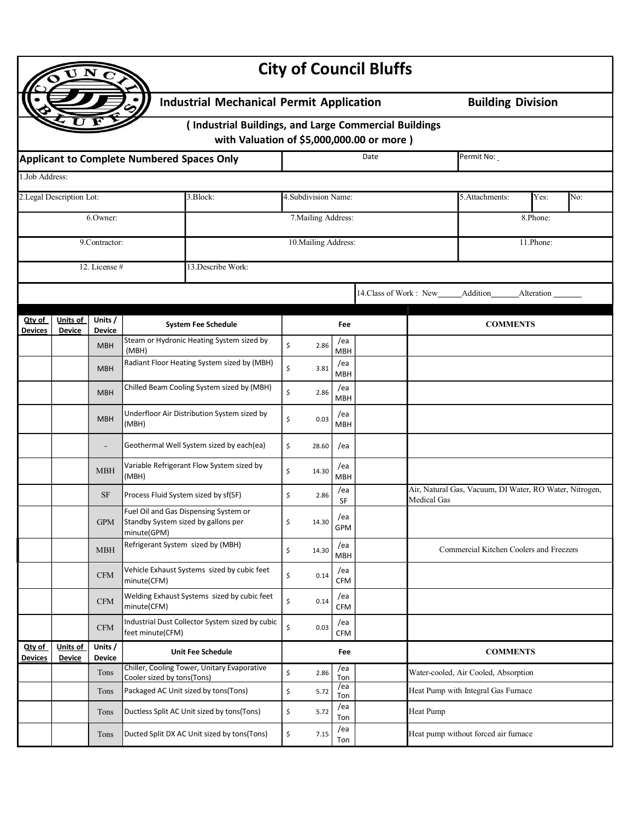|                                       |                                                       |                                                                                                                |                                                    |                                                                                                     |                      |                   | <b>City of Council Bluffs</b>           |                                                         |                                      |            |     |  |
|---------------------------------------|-------------------------------------------------------|----------------------------------------------------------------------------------------------------------------|----------------------------------------------------|-----------------------------------------------------------------------------------------------------|----------------------|-------------------|-----------------------------------------|---------------------------------------------------------|--------------------------------------|------------|-----|--|
|                                       |                                                       |                                                                                                                |                                                    | <b>Industrial Mechanical Permit Application</b>                                                     |                      |                   |                                         |                                                         | <b>Building Division</b>             |            |     |  |
|                                       |                                                       |                                                                                                                |                                                    | (Industrial Buildings, and Large Commercial Buildings<br>with Valuation of \$5,000,000.00 or more ) |                      |                   |                                         |                                                         |                                      |            |     |  |
|                                       |                                                       | Applicant to Complete Numbered Spaces Only                                                                     |                                                    |                                                                                                     |                      | Date              | Permit No:                              |                                                         |                                      |            |     |  |
| 1.Job Address:                        |                                                       |                                                                                                                |                                                    |                                                                                                     |                      |                   |                                         |                                                         |                                      |            |     |  |
| 2. Legal Description Lot:<br>3.Block: |                                                       |                                                                                                                |                                                    |                                                                                                     | 4. Subdivision Name: |                   |                                         |                                                         | 5. Attachments:                      | Yes:       | No: |  |
| 6.Owner:                              |                                                       |                                                                                                                |                                                    |                                                                                                     | 7. Mailing Address:  |                   |                                         | 8.Phone:                                                |                                      |            |     |  |
| 9.Contractor:                         |                                                       |                                                                                                                |                                                    |                                                                                                     | 10. Mailing Address: |                   |                                         | 11.Phone:                                               |                                      |            |     |  |
|                                       |                                                       | 12. License #                                                                                                  |                                                    | 13. Describe Work:                                                                                  |                      |                   |                                         |                                                         |                                      |            |     |  |
|                                       |                                                       |                                                                                                                |                                                    |                                                                                                     |                      |                   | 14. Class of Work: New                  |                                                         | Addition                             |            |     |  |
|                                       |                                                       |                                                                                                                |                                                    |                                                                                                     |                      |                   |                                         |                                                         |                                      | Alteration |     |  |
| Qty of<br>Devices                     | Units of<br>Units /<br><b>Device</b><br><b>Device</b> |                                                                                                                |                                                    | <b>System Fee Schedule</b>                                                                          | Fee                  |                   |                                         | <b>COMMENTS</b>                                         |                                      |            |     |  |
|                                       |                                                       | <b>MBH</b>                                                                                                     | (MBH)                                              | Steam or Hydronic Heating System sized by                                                           | Ś.<br>2.86           | /ea<br><b>MBH</b> |                                         |                                                         |                                      |            |     |  |
|                                       |                                                       | <b>MBH</b>                                                                                                     |                                                    | Radiant Floor Heating System sized by (MBH)                                                         | \$<br>3.81           | /ea<br><b>MBH</b> |                                         |                                                         |                                      |            |     |  |
|                                       |                                                       | <b>MBH</b>                                                                                                     |                                                    | Chilled Beam Cooling System sized by (MBH)                                                          | \$<br>2.86           | /ea<br>MBH        |                                         |                                                         |                                      |            |     |  |
|                                       |                                                       | <b>MBH</b>                                                                                                     | (MBH)                                              | Underfloor Air Distribution System sized by                                                         | \$<br>0.03           | /ea<br><b>MBH</b> |                                         |                                                         |                                      |            |     |  |
|                                       |                                                       | ÷                                                                                                              |                                                    | Geothermal Well System sized by each(ea)                                                            | \$<br>28.60          | /ea               |                                         |                                                         |                                      |            |     |  |
|                                       |                                                       | Variable Refrigerant Flow System sized by<br><b>MBH</b><br>(MBH)<br>Process Fluid System sized by sf(SF)<br>SF |                                                    | \$<br>14.30                                                                                         | /ea<br><b>MBH</b>    |                   |                                         |                                                         |                                      |            |     |  |
|                                       |                                                       |                                                                                                                |                                                    | \$<br>2.86                                                                                          | /ea<br>SF            |                   | <b>Medical Gas</b>                      | Air, Natural Gas, Vacuum, DI Water, RO Water, Nitrogen, |                                      |            |     |  |
|                                       |                                                       | <b>GPM</b>                                                                                                     | Standby System sized by gallons per<br>minute(GPM) | Fuel Oil and Gas Dispensing System or                                                               | \$<br>14.30          | /ea<br>GPM        |                                         |                                                         |                                      |            |     |  |
|                                       |                                                       | Refrigerant System sized by (MBH)<br><b>MBH</b>                                                                |                                                    | \$<br>14.30                                                                                         | /ea<br><b>MBH</b>    |                   | Commercial Kitchen Coolers and Freezers |                                                         |                                      |            |     |  |
|                                       |                                                       | CFM                                                                                                            | minute(CFM)                                        | Vehicle Exhaust Systems sized by cubic feet                                                         | \$<br>0.14           | /ea<br><b>CFM</b> |                                         |                                                         |                                      |            |     |  |
|                                       |                                                       | <b>CFM</b>                                                                                                     | minute(CFM)                                        | Welding Exhaust Systems sized by cubic feet                                                         | \$<br>0.14           | /ea<br><b>CFM</b> |                                         |                                                         |                                      |            |     |  |
|                                       |                                                       | $\mathbf{CFM}$                                                                                                 | feet minute(CFM)                                   | Industrial Dust Collector System sized by cubic                                                     | \$<br>0.03           | /ea<br><b>CFM</b> |                                         |                                                         |                                      |            |     |  |
| Qty of<br><b>Devices</b>              | Units of<br><b>Device</b>                             | Units /<br><b>Device</b>                                                                                       | <b>Unit Fee Schedule</b>                           |                                                                                                     | Fee                  |                   |                                         | <b>COMMENTS</b>                                         |                                      |            |     |  |
|                                       |                                                       | Tons                                                                                                           | Cooler sized by tons(Tons)                         | Chiller, Cooling Tower, Unitary Evaporative                                                         | \$<br>2.86           | /ea<br>Ton        |                                         |                                                         | Water-cooled, Air Cooled, Absorption |            |     |  |
|                                       |                                                       | Tons                                                                                                           |                                                    | Packaged AC Unit sized by tons(Tons)                                                                | \$<br>5.72           | /ea<br>Ton        |                                         |                                                         | Heat Pump with Integral Gas Furnace  |            |     |  |
|                                       |                                                       | Tons                                                                                                           |                                                    | Ductless Split AC Unit sized by tons(Tons)                                                          | \$<br>5.72           | /ea<br>Ton        |                                         | <b>Heat Pump</b>                                        |                                      |            |     |  |
|                                       |                                                       | Tons                                                                                                           |                                                    | Ducted Split DX AC Unit sized by tons(Tons)                                                         | \$<br>7.15           | /ea<br>Ton        |                                         |                                                         | Heat pump without forced air furnace |            |     |  |
|                                       |                                                       |                                                                                                                |                                                    |                                                                                                     |                      |                   |                                         |                                                         |                                      |            |     |  |